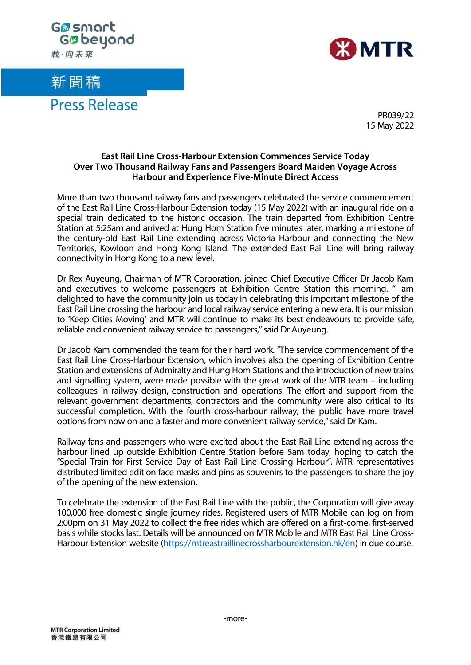

## 新聞稿

**Press Release** 



PR039/22 15 May 2022

## **East Rail Line Cross-Harbour Extension Commences Service Today Over Two Thousand Railway Fans and Passengers Board Maiden Voyage Across Harbour and Experience Five-Minute Direct Access**

More than two thousand railway fans and passengers celebrated the service commencement of the East Rail Line Cross-Harbour Extension today (15 May 2022) with an inaugural ride on a special train dedicated to the historic occasion. The train departed from Exhibition Centre Station at 5:25am and arrived at Hung Hom Station five minutes later, marking a milestone of the century-old East Rail Line extending across Victoria Harbour and connecting the New Territories, Kowloon and Hong Kong Island. The extended East Rail Line will bring railway connectivity in Hong Kong to a new level.

Dr Rex Auyeung, Chairman of MTR Corporation, joined Chief Executive Officer Dr Jacob Kam and executives to welcome passengers at Exhibition Centre Station this morning. "I am delighted to have the community join us today in celebrating this important milestone of the East Rail Line crossing the harbour and local railway service entering a new era. It is our mission to 'Keep Cities Moving' and MTR will continue to make its best endeavours to provide safe, reliable and convenient railway service to passengers," said Dr Auyeung.

Dr Jacob Kam commended the team for their hard work. "The service commencement of the East Rail Line Cross-Harbour Extension, which involves also the opening of Exhibition Centre Station and extensions of Admiralty and Hung Hom Stations and the introduction of new trains and signalling system, were made possible with the great work of the MTR team – including colleagues in railway design, construction and operations. The effort and support from the relevant government departments, contractors and the community were also critical to its successful completion. With the fourth cross-harbour railway, the public have more travel options from now on and a faster and more convenient railway service," said Dr Kam.

Railway fans and passengers who were excited about the East Rail Line extending across the harbour lined up outside Exhibition Centre Station before 5am today, hoping to catch the "Special Train for First Service Day of East Rail Line Crossing Harbour". MTR representatives distributed limited edition face masks and pins as souvenirs to the passengers to share the joy of the opening of the new extension.

To celebrate the extension of the East Rail Line with the public, the Corporation will give away 100,000 free domestic single journey rides. Registered users of MTR Mobile can log on from 2:00pm on 31 May 2022 to collect the free rides which are offered on a first-come, first-served basis while stocks last. Details will be announced on MTR Mobile and MTR East Rail Line Cross-Harbour Extension website [\(https://mtreastraillinecrossharbourextension.hk/en\)](https://mtreastraillinecrossharbourextension.hk/en) in due course.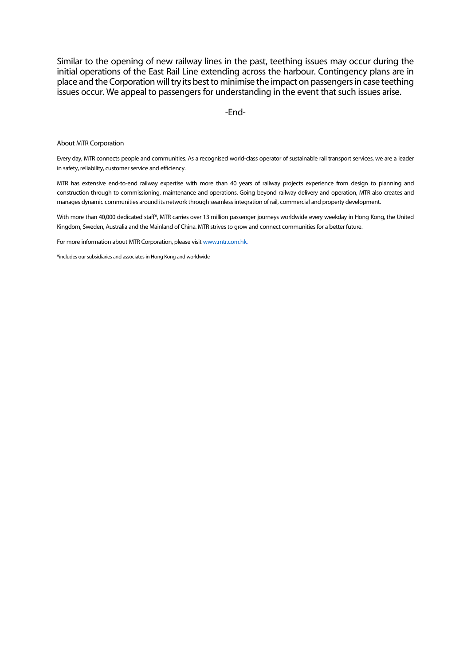Similar to the opening of new railway lines in the past, teething issues may occur during the initial operations of the East Rail Line extending across the harbour. Contingency plans are in place and the Corporation will try its best to minimise the impact on passengers in case teething issues occur. We appeal to passengers for understanding in the event that such issues arise.

-End-

About MTR Corporation

Every day, MTR connects people and communities. As a recognised world-class operator of sustainable rail transport services, we are a leader in safety, reliability, customer service and efficiency.

MTR has extensive end-to-end railway expertise with more than 40 years of railway projects experience from design to planning and construction through to commissioning, maintenance and operations. Going beyond railway delivery and operation, MTR also creates and manages dynamic communities around its network through seamless integration of rail, commercial and property development.

With more than 40,000 dedicated staff\*, MTR carries over 13 million passenger journeys worldwide every weekday in Hong Kong, the United Kingdom, Sweden, Australia and the Mainland of China. MTR strives to grow and connect communities for a better future.

For more information about MTR Corporation, please visi[t www.mtr.com.hk.](http://www.mtr.com.hk/)

\*includes our subsidiaries and associatesin Hong Kong and worldwide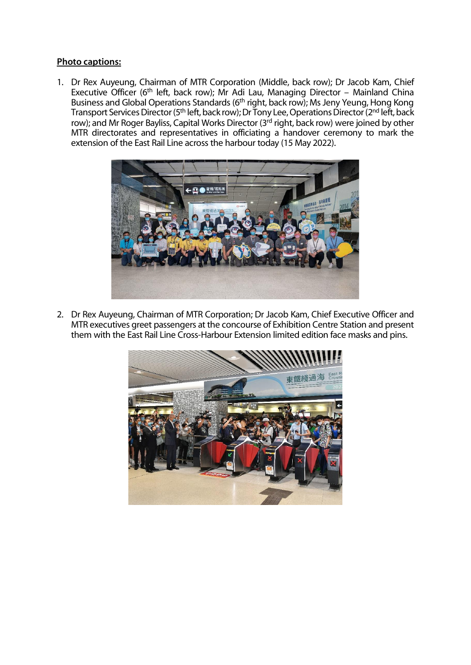## **Photo captions:**

1. Dr Rex Auyeung, Chairman of MTR Corporation (Middle, back row); Dr Jacob Kam, Chief Executive Officer (6th left, back row); Mr Adi Lau, Managing Director – Mainland China Business and Global Operations Standards (6<sup>th</sup> right, back row); Ms Jeny Yeung, Hong Kong Transport Services Director (5<sup>th</sup> left, back row); Dr Tony Lee, Operations Director (2<sup>nd</sup> left, back row); and Mr Roger Bayliss, Capital Works Director (3rd right, back row) were joined by other MTR directorates and representatives in officiating a handover ceremony to mark the extension of the East Rail Line across the harbour today (15 May 2022).



2. Dr Rex Auyeung, Chairman of MTR Corporation; Dr Jacob Kam, Chief Executive Officer and MTR executives greet passengers at the concourse of Exhibition Centre Station and present them with the East Rail Line Cross-Harbour Extension limited edition face masks and pins.